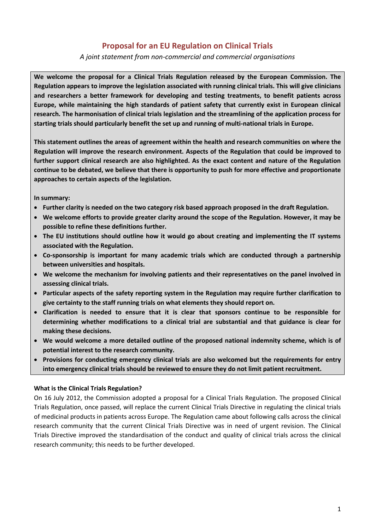# **Proposal for an EU Regulation on Clinical Trials**

*A joint statement from non-commercial and commercial organisations* 

**We welcome the proposal for a Clinical Trials Regulation released by the European Commission. The Regulation appears to improve the legislation associated with running clinical trials. This will give clinicians and researchers a better framework for developing and testing treatments, to benefit patients across Europe, while maintaining the high standards of patient safety that currently exist in European clinical research. The harmonisation of clinical trials legislation and the streamlining of the application process for starting trials should particularly benefit the set up and running of multi-national trials in Europe.**

**This statement outlines the areas of agreement within the health and research communities on where the Regulation will improve the research environment. Aspects of the Regulation that could be improved to further support clinical research are also highlighted. As the exact content and nature of the Regulation continue to be debated, we believe that there is opportunity to push for more effective and proportionate approaches to certain aspects of the legislation.** 

### **In summary:**

- **Further clarity is needed on the two category risk based approach proposed in the draft Regulation.**
- **We welcome efforts to provide greater clarity around the scope of the Regulation. However, it may be possible to refine these definitions further.**
- **The EU institutions should outline how it would go about creating and implementing the IT systems associated with the Regulation.**
- **Co-sponsorship is important for many academic trials which are conducted through a partnership between universities and hospitals.**
- **We welcome the mechanism for involving patients and their representatives on the panel involved in assessing clinical trials.**
- **Particular aspects of the safety reporting system in the Regulation may require further clarification to give certainty to the staff running trials on what elements they should report on.**
- **Clarification is needed to ensure that it is clear that sponsors continue to be responsible for determining whether modifications to a clinical trial are substantial and that guidance is clear for making these decisions.**
- **We would welcome a more detailed outline of the proposed national indemnity scheme, which is of potential interest to the research community.**
- **Provisions for conducting emergency clinical trials are also welcomed but the requirements for entry into emergency clinical trials should be reviewed to ensure they do not limit patient recruitment.**

#### **What is the Clinical Trials Regulation?**

On 16 July 2012, the Commission adopted a proposal for a Clinical Trials Regulation. The proposed Clinical Trials Regulation, once passed, will replace the current Clinical Trials Directive in regulating the clinical trials of medicinal products in patients across Europe. The Regulation came about following calls across the clinical research community that the current Clinical Trials Directive was in need of urgent revision. The Clinical Trials Directive improved the standardisation of the conduct and quality of clinical trials across the clinical research community; this needs to be further developed.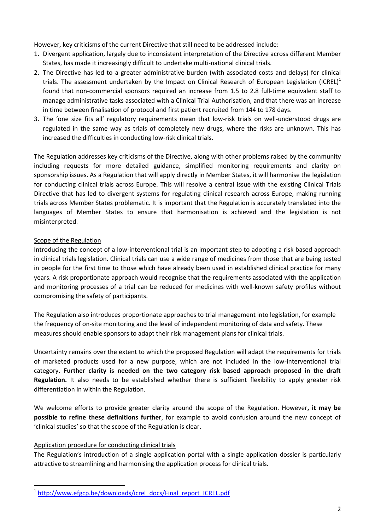However, key criticisms of the current Directive that still need to be addressed include:

- 1. Divergent application, largely due to inconsistent interpretation of the Directive across different Member States, has made it increasingly difficult to undertake multi-national clinical trials.
- 2. The Directive has led to a greater administrative burden (with associated costs and delays) for clinical trials. The assessment undertaken by the Impact on Clinical Research of European Legislation (ICREL)<sup>1</sup> found that non-commercial sponsors required an increase from 1.5 to 2.8 full-time equivalent staff to manage administrative tasks associated with a Clinical Trial Authorisation, and that there was an increase in time between finalisation of protocol and first patient recruited from 144 to 178 days.
- 3. The 'one size fits all' regulatory requirements mean that low-risk trials on well-understood drugs are regulated in the same way as trials of completely new drugs, where the risks are unknown. This has increased the difficulties in conducting low-risk clinical trials.

The Regulation addresses key criticisms of the Directive, along with other problems raised by the community including requests for more detailed guidance, simplified monitoring requirements and clarity on sponsorship issues. As a Regulation that will apply directly in Member States, it will harmonise the legislation for conducting clinical trials across Europe. This will resolve a central issue with the existing Clinical Trials Directive that has led to divergent systems for regulating clinical research across Europe, making running trials across Member States problematic. It is important that the Regulation is accurately translated into the languages of Member States to ensure that harmonisation is achieved and the legislation is not misinterpreted.

## Scope of the Regulation

Introducing the concept of a low-interventional trial is an important step to adopting a risk based approach in clinical trials legislation. Clinical trials can use a wide range of medicines from those that are being tested in people for the first time to those which have already been used in established clinical practice for many years. A risk proportionate approach would recognise that the requirements associated with the application and monitoring processes of a trial can be reduced for medicines with well-known safety profiles without compromising the safety of participants.

The Regulation also introduces proportionate approaches to trial management into legislation, for example the frequency of on-site monitoring and the level of independent monitoring of data and safety. These measures should enable sponsors to adapt their risk management plans for clinical trials.

Uncertainty remains over the extent to which the proposed Regulation will adapt the requirements for trials of marketed products used for a new purpose, which are not included in the low-interventional trial category. **Further clarity is needed on the two category risk based approach proposed in the draft Regulation.** It also needs to be established whether there is sufficient flexibility to apply greater risk differentiation in within the Regulation.

We welcome efforts to provide greater clarity around the scope of the Regulation. However**, it may be possible to refine these definitions further**, for example to avoid confusion around the new concept of 'clinical studies' so that the scope of the Regulation is clear.

## Application procedure for conducting clinical trials

1

The Regulation's introduction of a single application portal with a single application dossier is particularly attractive to streamlining and harmonising the application process for clinical trials.

<sup>&</sup>lt;sup>1</sup> [http://www.efgcp.be/downloads/icrel\\_docs/Final\\_report\\_ICREL.pdf](http://www.efgcp.be/downloads/icrel_docs/Final_report_ICREL.pdf)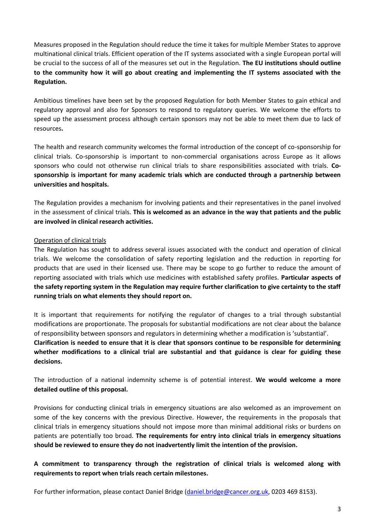Measures proposed in the Regulation should reduce the time it takes for multiple Member States to approve multinational clinical trials. Efficient operation of the IT systems associated with a single European portal will be crucial to the success of all of the measures set out in the Regulation. **The EU institutions should outline to the community how it will go about creating and implementing the IT systems associated with the Regulation.**

Ambitious timelines have been set by the proposed Regulation for both Member States to gain ethical and regulatory approval and also for Sponsors to respond to regulatory queries. We welcome the efforts to speed up the assessment process although certain sponsors may not be able to meet them due to lack of resources**.**

The health and research community welcomes the formal introduction of the concept of co-sponsorship for clinical trials. Co-sponsorship is important to non-commercial organisations across Europe as it allows sponsors who could not otherwise run clinical trials to share responsibilities associated with trials. **Cosponsorship is important for many academic trials which are conducted through a partnership between universities and hospitals.** 

The Regulation provides a mechanism for involving patients and their representatives in the panel involved in the assessment of clinical trials. **This is welcomed as an advance in the way that patients and the public are involved in clinical research activities.**

### Operation of clinical trials

The Regulation has sought to address several issues associated with the conduct and operation of clinical trials. We welcome the consolidation of safety reporting legislation and the reduction in reporting for products that are used in their licensed use. There may be scope to go further to reduce the amount of reporting associated with trials which use medicines with established safety profiles. **Particular aspects of the safety reporting system in the Regulation may require further clarification to give certainty to the staff running trials on what elements they should report on.** 

It is important that requirements for notifying the regulator of changes to a trial through substantial modifications are proportionate. The proposals for substantial modifications are not clear about the balance of responsibility between sponsors and regulators in determining whether a modification is 'substantial'. **Clarification is needed to ensure that it is clear that sponsors continue to be responsible for determining whether modifications to a clinical trial are substantial and that guidance is clear for guiding these decisions.**

The introduction of a national indemnity scheme is of potential interest. **We would welcome a more detailed outline of this proposal.**

Provisions for conducting clinical trials in emergency situations are also welcomed as an improvement on some of the key concerns with the previous Directive. However, the requirements in the proposals that clinical trials in emergency situations should not impose more than minimal additional risks or burdens on patients are potentially too broad. **The requirements for entry into clinical trials in emergency situations should be reviewed to ensure they do not inadvertently limit the intention of the provision.**

**A commitment to transparency through the registration of clinical trials is welcomed along with requirements to report when trials reach certain milestones.**

For further information, please contact Daniel Bridge [\(daniel.bridge@cancer.org.uk,](mailto:daniel.bridge@cancer.org.uk) 0203 469 8153).